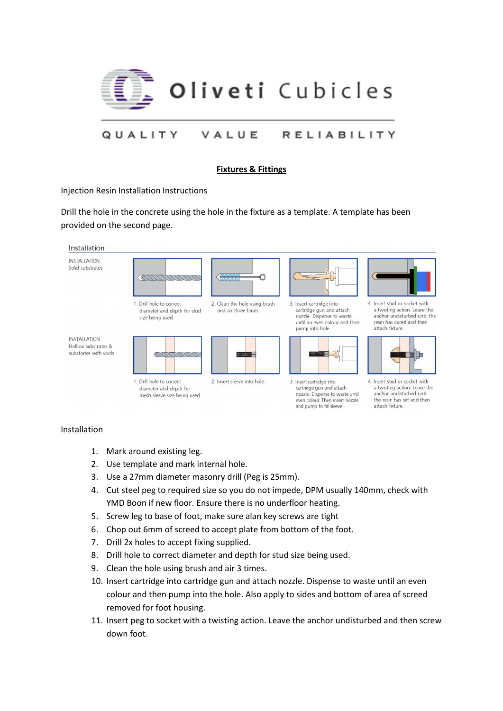

## **Fixtures & Fittings**

## Injection Resin Installation Instructions

Drill the hole in the concrete using the hole in the fixture as a template. A template has been provided on the second page.



## Installation

- 1. Mark around existing leg.
- 2. Use template and mark internal hole.
- 3. Use a 27mm diameter masonry drill (Peg is 25mm).
- 4. Cut steel peg to required size so you do not impede, DPM usually 140mm, check with YMD Boon if new floor. Ensure there is no underfloor heating.
- 5. Screw leg to base of foot, make sure alan key screws are tight
- 6. Chop out 6mm of screed to accept plate from bottom of the foot.
- 7. Drill 2x holes to accept fixing supplied.
- 8. Drill hole to correct diameter and depth for stud size being used.
- 9. Clean the hole using brush and air 3 times.
- 10. Insert cartridge into cartridge gun and attach nozzle. Dispense to waste until an even colour and then pump into the hole. Also apply to sides and bottom of area of screed removed for foot housing.
- 11. Insert peg to socket with a twisting action. Leave the anchor undisturbed and then screw down foot.